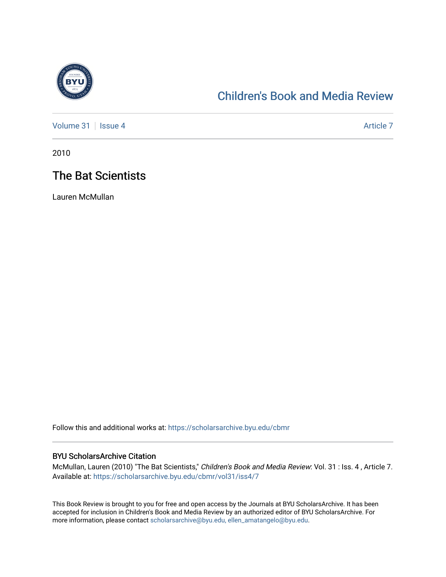

## [Children's Book and Media Review](https://scholarsarchive.byu.edu/cbmr)

[Volume 31](https://scholarsarchive.byu.edu/cbmr/vol31) | [Issue 4](https://scholarsarchive.byu.edu/cbmr/vol31/iss4) Article 7

2010

## The Bat Scientists

Lauren McMullan

Follow this and additional works at: [https://scholarsarchive.byu.edu/cbmr](https://scholarsarchive.byu.edu/cbmr?utm_source=scholarsarchive.byu.edu%2Fcbmr%2Fvol31%2Fiss4%2F7&utm_medium=PDF&utm_campaign=PDFCoverPages) 

## BYU ScholarsArchive Citation

McMullan, Lauren (2010) "The Bat Scientists," Children's Book and Media Review: Vol. 31 : Iss. 4 , Article 7. Available at: [https://scholarsarchive.byu.edu/cbmr/vol31/iss4/7](https://scholarsarchive.byu.edu/cbmr/vol31/iss4/7?utm_source=scholarsarchive.byu.edu%2Fcbmr%2Fvol31%2Fiss4%2F7&utm_medium=PDF&utm_campaign=PDFCoverPages) 

This Book Review is brought to you for free and open access by the Journals at BYU ScholarsArchive. It has been accepted for inclusion in Children's Book and Media Review by an authorized editor of BYU ScholarsArchive. For more information, please contact [scholarsarchive@byu.edu, ellen\\_amatangelo@byu.edu.](mailto:scholarsarchive@byu.edu,%20ellen_amatangelo@byu.edu)